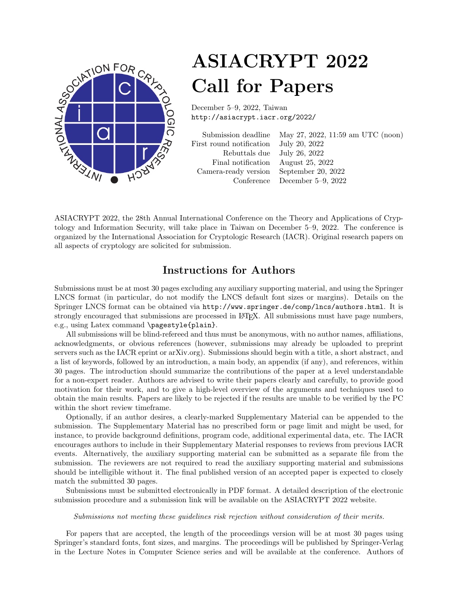

# ASIACRYPT 2022 Call for Papers

December 5–9, 2022, Taiwan http://asiacrypt.iacr.org/2022/

|                                         | Submission deadline May 27, 2022, 11:59 am UTC (noon) |
|-----------------------------------------|-------------------------------------------------------|
| First round notification                | July 20, 2022                                         |
| Rebuttals due July 26, 2022             |                                                       |
| Final notification August 25, 2022      |                                                       |
| Camera-ready version September 20, 2022 |                                                       |
|                                         | Conference December 5–9, 2022                         |
|                                         |                                                       |

ASIACRYPT 2022, the 28th Annual International Conference on the Theory and Applications of Cryptology and Information Security, will take place in Taiwan on December 5–9, 2022. The conference is organized by the International Association for Cryptologic Research (IACR). Original research papers on all aspects of cryptology are solicited for submission.

### Instructions for Authors

Submissions must be at most 30 pages excluding any auxiliary supporting material, and using the Springer LNCS format (in particular, do not modify the LNCS default font sizes or margins). Details on the Springer LNCS format can be obtained via http://www.springer.de/comp/lncs/authors.html. It is strongly encouraged that submissions are processed in IATEX. All submissions must have page numbers, e.g., using Latex command \pagestyle{plain}.

All submissions will be blind-refereed and thus must be anonymous, with no author names, affiliations, acknowledgments, or obvious references (however, submissions may already be uploaded to preprint servers such as the IACR eprint or arXiv.org). Submissions should begin with a title, a short abstract, and a list of keywords, followed by an introduction, a main body, an appendix (if any), and references, within 30 pages. The introduction should summarize the contributions of the paper at a level understandable for a non-expert reader. Authors are advised to write their papers clearly and carefully, to provide good motivation for their work, and to give a high-level overview of the arguments and techniques used to obtain the main results. Papers are likely to be rejected if the results are unable to be verified by the PC within the short review timeframe.

Optionally, if an author desires, a clearly-marked Supplementary Material can be appended to the submission. The Supplementary Material has no prescribed form or page limit and might be used, for instance, to provide background definitions, program code, additional experimental data, etc. The IACR encourages authors to include in their Supplementary Material responses to reviews from previous IACR events. Alternatively, the auxiliary supporting material can be submitted as a separate file from the submission. The reviewers are not required to read the auxiliary supporting material and submissions should be intelligible without it. The final published version of an accepted paper is expected to closely match the submitted 30 pages.

Submissions must be submitted electronically in PDF format. A detailed description of the electronic submission procedure and a submission link will be available on the ASIACRYPT 2022 website.

#### Submissions not meeting these guidelines risk rejection without consideration of their merits.

For papers that are accepted, the length of the proceedings version will be at most 30 pages using Springer's standard fonts, font sizes, and margins. The proceedings will be published by Springer-Verlag in the Lecture Notes in Computer Science series and will be available at the conference. Authors of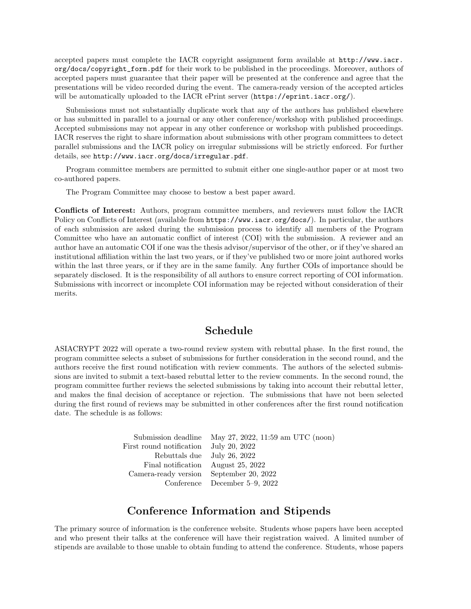accepted papers must complete the IACR copyright assignment form available at http://www.iacr. org/docs/copyright\_form.pdf for their work to be published in the proceedings. Moreover, authors of accepted papers must guarantee that their paper will be presented at the conference and agree that the presentations will be video recorded during the event. The camera-ready version of the accepted articles will be automatically uploaded to the IACR ePrint server (https://eprint.iacr.org/).

Submissions must not substantially duplicate work that any of the authors has published elsewhere or has submitted in parallel to a journal or any other conference/workshop with published proceedings. Accepted submissions may not appear in any other conference or workshop with published proceedings. IACR reserves the right to share information about submissions with other program committees to detect parallel submissions and the IACR policy on irregular submissions will be strictly enforced. For further details, see http://www.iacr.org/docs/irregular.pdf.

Program committee members are permitted to submit either one single-author paper or at most two co-authored papers.

The Program Committee may choose to bestow a best paper award.

Conflicts of Interest: Authors, program committee members, and reviewers must follow the IACR Policy on Conflicts of Interest (available from https://www.iacr.org/docs/). In particular, the authors of each submission are asked during the submission process to identify all members of the Program Committee who have an automatic conflict of interest (COI) with the submission. A reviewer and an author have an automatic COI if one was the thesis advisor/supervisor of the other, or if they've shared an institutional affiliation within the last two years, or if they've published two or more joint authored works within the last three years, or if they are in the same family. Any further COIs of importance should be separately disclosed. It is the responsibility of all authors to ensure correct reporting of COI information. Submissions with incorrect or incomplete COI information may be rejected without consideration of their merits.

### Schedule

ASIACRYPT 2022 will operate a two-round review system with rebuttal phase. In the first round, the program committee selects a subset of submissions for further consideration in the second round, and the authors receive the first round notification with review comments. The authors of the selected submissions are invited to submit a text-based rebuttal letter to the review comments. In the second round, the program committee further reviews the selected submissions by taking into account their rebuttal letter, and makes the final decision of acceptance or rejection. The submissions that have not been selected during the first round of reviews may be submitted in other conferences after the first round notification date. The schedule is as follows:

> Submission deadline May 27, 2022, 11:59 am UTC (noon) First round notification July 20, 2022 Rebuttals due July 26, 2022 Final notification August 25, 2022 Camera-ready version September 20, 2022 Conference December 5–9, 2022

### Conference Information and Stipends

The primary source of information is the conference website. Students whose papers have been accepted and who present their talks at the conference will have their registration waived. A limited number of stipends are available to those unable to obtain funding to attend the conference. Students, whose papers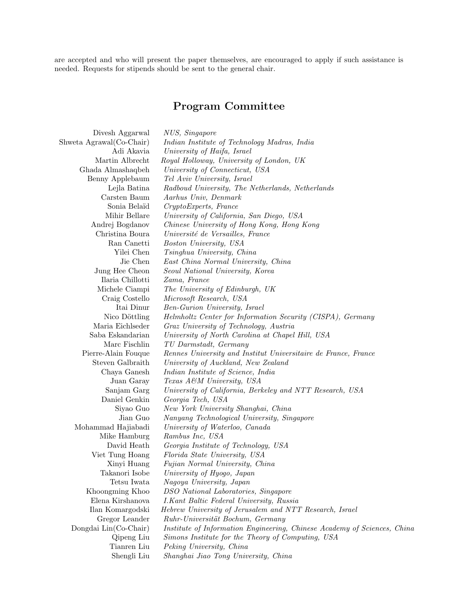are accepted and who will present the paper themselves, are encouraged to apply if such assistance is needed. Requests for stipends should be sent to the general chair.

## Program Committee

| Divesh Aggarwal          | NUS, Singapore                                                           |
|--------------------------|--------------------------------------------------------------------------|
| Shweta Agrawal(Co-Chair) | Indian Institute of Technology Madras, India                             |
| Adi Akavia               | University of Haifa, Israel                                              |
| Martin Albrecht          | Royal Holloway, University of London, UK                                 |
| Ghada Almashaqbeh        | University of Connecticut, USA                                           |
| Benny Applebaum          | Tel Aviv University, Israel                                              |
| Lejla Batina             | Radboud University, The Netherlands, Netherlands                         |
| Carsten Baum             | Aarhus Univ, Denmark                                                     |
| Sonia Belaïd             | CryptoExperts, France                                                    |
| Mihir Bellare            | University of California, San Diego, USA                                 |
| Andrej Bogdanov          | Chinese University of Hong Kong, Hong Kong                               |
| Christina Boura          | Université de Versailles, France                                         |
| Ran Canetti              | Boston University, USA                                                   |
| Yilei Chen               | Tsinghua University, China                                               |
| Jie Chen                 | East China Normal University, China                                      |
| Jung Hee Cheon           | Seoul National University, Korea                                         |
| Ilaria Chillotti         | Zama, France                                                             |
| Michele Ciampi           | The University of Edinburgh, UK                                          |
| Craig Costello           | Microsoft Research, USA                                                  |
| Itai Dinur               | Ben-Gurion University, Israel                                            |
| Nico Döttling            | Helmholtz Center for Information Security (CISPA), Germany               |
| Maria Eichlseder         | Graz University of Technology, Austria                                   |
| Saba Eskandarian         | University of North Carolina at Chapel Hill, USA                         |
| Marc Fischlin            | TU Darmstadt, Germany                                                    |
| Pierre-Alain Fouque      | Rennes University and Institut Universitaire de France, France           |
| Steven Galbraith         | University of Auckland, New Zealand                                      |
| Chaya Ganesh             | Indian Institute of Science, India                                       |
| Juan Garay               | Texas A&M University, USA                                                |
| Sanjam Garg              | University of California, Berkeley and NTT Research, USA                 |
| Daniel Genkin            | Georgia Tech, USA                                                        |
| Siyao Guo                | New York University Shanghai, China                                      |
| Jian Guo                 | Nanyang Technological University, Singapore                              |
| Mohammad Hajiabadi       | University of Waterloo, Canada                                           |
| Mike Hamburg             | Rambus Inc, USA                                                          |
| David Heath              | Georgia Institute of Technology, USA                                     |
| Viet Tung Hoang          | Florida State University, USA                                            |
| Xinyi Huang              | Fujian Normal University, China                                          |
| Takanori Isobe           | University of Hyogo, Japan                                               |
| Tetsu Iwata              | Nagoya University, Japan                                                 |
| Khoongming Khoo          | DSO National Laboratories, Singapore                                     |
| Elena Kirshanova         | I.Kant Baltic Federal University, Russia                                 |
| Ilan Komargodski         | Hebrew University of Jerusalem and NTT Research, Israel                  |
| Gregor Leander           | Ruhr-Universität Bochum, Germany                                         |
| Dongdai Lin(Co-Chair)    | Institute of Information Engineering, Chinese Academy of Sciences, China |
| Qipeng Liu               | Simons Institute for the Theory of Computing, USA                        |
| Tianren Liu              | Peking University, China                                                 |
| Shengli Liu              | Shanghai Jiao Tong University, China                                     |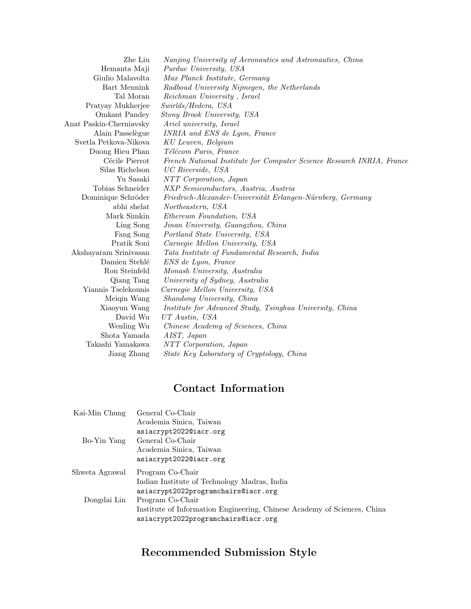| Zhe Liu                 | Nanjing University of Aeronautics and Astronautics, China             |
|-------------------------|-----------------------------------------------------------------------|
| Hemanta Maji            | <i>Purdue University, USA</i>                                         |
| Giulio Malavolta        | Max Planck Institute, Germany                                         |
| Bart Mennink            | Radboud University Nijmegen, the Netherlands                          |
| Tal Moran               | Reichman University, Israel                                           |
| Pratyay Mukherjee       | Swirlds/Hedera, USA                                                   |
| Omkant Pandey           | Stony Brook University, USA                                           |
| Anat Paskin-Cherniavsky | Ariel university, Israel                                              |
| Alain Passelègue        | INRIA and ENS de Lyon, France                                         |
| Svetla Petkova-Nikova   | KU Leuven, Belgium                                                    |
| Duong Hieu Phan         | Télécom Paris, France                                                 |
| Cécile Pierrot          | French National Institute for Computer Science Research INRIA, France |
| Silas Richelson         | UC Riverside, USA                                                     |
| Yu Sasaki               | NTT Corporation, Japan                                                |
| Tobias Schneider        | NXP Semiconductors, Austria, Austria                                  |
| Dominique Schröder      | Friedrich-Alexander-Universität Erlangen-Nürnberg, Germany            |
| abhi shelat             | Northeastern, USA                                                     |
| Mark Simkin             | Ethereum Foundation, USA                                              |
| Ling Song               | Jinan University, Guangzhou, China                                    |
| Fang Song               | Portland State University, USA                                        |
| Pratik Soni             | Carnegie Mellon University, USA                                       |
| Akshayaram Srinivasan   | Tata Institute of Fundamental Research, India                         |
| Damien Stehlé           | ENS de Lyon, France                                                   |
| Ron Steinfeld           | Monash University, Australia                                          |
| Qiang Tang              | University of Sydney, Australia                                       |
| Yiannis Tselekounis     | Carnegie Mellon University, USA                                       |
| Meiqin Wang             | Shandong University, China                                            |
| Xiaoyun Wang            | Institute for Advanced Study, Tsinghua University, China              |
| David Wu                | UT Austin, USA                                                        |
| Wenling Wu              | Chinese Academy of Sciences, China                                    |
| Shota Yamada            | AIST, Japan                                                           |
| Takashi Yamakawa        | NTT Corporation, Japan                                                |
| Jiang Zhang             | State Key Laboratory of Cryptology, China                             |

## Contact Information

| Kai-Min Chung  | General Co-Chair                                                         |
|----------------|--------------------------------------------------------------------------|
|                | Academia Sinica, Taiwan                                                  |
|                | asiacrypt2022@iacr.org                                                   |
| Bo-Yin Yang    | General Co-Chair                                                         |
|                | Academia Sinica, Taiwan                                                  |
|                | asiacrypt2022@iacr.org                                                   |
| Shweta Agrawal | Program Co-Chair                                                         |
|                | Indian Institute of Technology Madras, India                             |
|                | asiacrypt2022programchairs@iacr.org                                      |
| Dongdai Lin    | Program Co-Chair                                                         |
|                | Institute of Information Engineering, Chinese Academy of Sciences, China |
|                | asiacrypt2022programchairs@iacr.org                                      |
|                |                                                                          |

## Recommended Submission Style